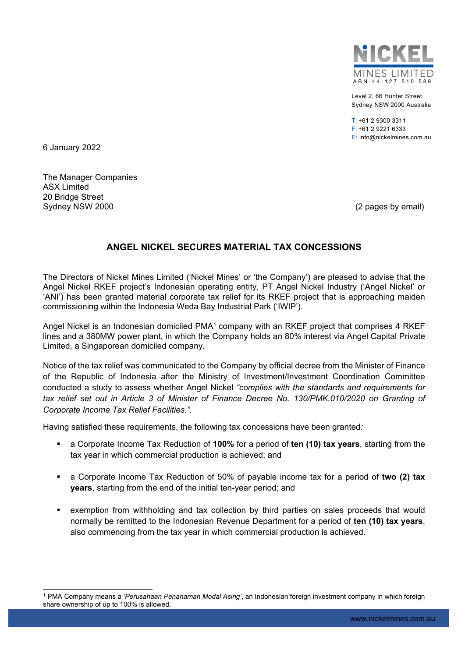

Level 2, 66 Hunter Street Sydney NSW 2000 Australia

T: +61 2 9300 3311 F: +61 2 9221 6333 E: info@nickelmines.com.au

6 January 2022

The Manager Companies ASX Limited 20 Bridge Street Sydney NSW 2000 **(2 pages by email)** Sydney NSW 2000

## **ANGEL NICKEL SECURES MATERIAL TAX CONCESSIONS**

The Directors of Nickel Mines Limited ('Nickel Mines' or 'the Company') are pleased to advise that the Angel Nickel RKEF project's Indonesian operating entity, PT Angel Nickel Industry ('Angel Nickel' or 'ANI') has been granted material corporate tax relief for its RKEF project that is approaching maiden commissioning within the Indonesia Weda Bay Industrial Park ('IWIP').

Angel Nickel is an Indonesian domiciled PMA<sup>1</sup> company with an RKEF project that comprises 4 RKEF lines and a 380MW power plant, in which the Company holds an 80% interest via Angel Capital Private Limited, a Singaporean domiciled company.

Notice of the tax relief was communicated to the Company by official decree from the Minister of Finance of the Republic of Indonesia after the Ministry of Investment/Investment Coordination Committee conducted a study to assess whether Angel Nickel *"complies with the standards and requirements for tax relief set out in Article 3 of Minister of Finance Decree No. 130/PMK.010/2020 on Granting of Corporate Income Tax Relief Facilities.".* 

Having satisfied these requirements, the following tax concessions have been granted*:* 

- a Corporate Income Tax Reduction of **100%** for a period of **ten (10) tax years**, starting from the tax year in which commercial production is achieved; and
- a Corporate Income Tax Reduction of 50% of payable income tax for a period of **two (2) tax years**, starting from the end of the initial ten-year period; and
- exemption from withholding and tax collection by third parties on sales proceeds that would normally be remitted to the Indonesian Revenue Department for a period of **ten (10) tax years**, also commencing from the tax year in which commercial production is achieved.

<sup>1</sup> PMA Company means a *'Perusahaan Penanaman Modal Asing'*, an Indonesian foreign investment company in which foreign share ownership of up to 100% is allowed.